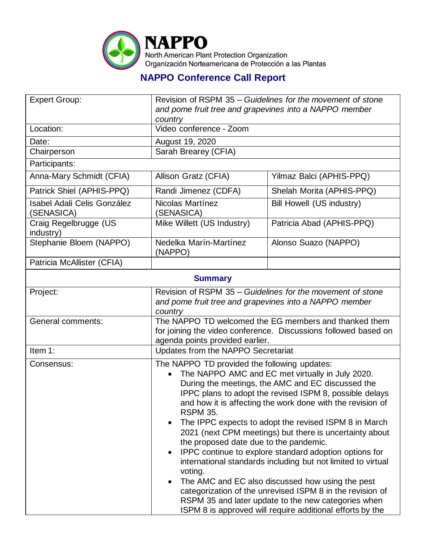

## **NAPPO Conference Call Report**

| <b>Expert Group:</b>                             | Revision of RSPM 35 – Guidelines for the movement of stone<br>and pome fruit tree and grapevines into a NAPPO member                                                                                                                                                                                                                                                                                                                                                                                                                                                                                                                                                                                                                                                                                                                      |                                    |  |  |
|--------------------------------------------------|-------------------------------------------------------------------------------------------------------------------------------------------------------------------------------------------------------------------------------------------------------------------------------------------------------------------------------------------------------------------------------------------------------------------------------------------------------------------------------------------------------------------------------------------------------------------------------------------------------------------------------------------------------------------------------------------------------------------------------------------------------------------------------------------------------------------------------------------|------------------------------------|--|--|
| Location:                                        | country<br>Video conference - Zoom                                                                                                                                                                                                                                                                                                                                                                                                                                                                                                                                                                                                                                                                                                                                                                                                        |                                    |  |  |
| Date:                                            | August 19, 2020                                                                                                                                                                                                                                                                                                                                                                                                                                                                                                                                                                                                                                                                                                                                                                                                                           |                                    |  |  |
| Chairperson                                      | Sarah Brearey (CFIA)                                                                                                                                                                                                                                                                                                                                                                                                                                                                                                                                                                                                                                                                                                                                                                                                                      |                                    |  |  |
| Participants:                                    |                                                                                                                                                                                                                                                                                                                                                                                                                                                                                                                                                                                                                                                                                                                                                                                                                                           |                                    |  |  |
| Anna-Mary Schmidt (CFIA)                         | Allison Gratz (CFIA)                                                                                                                                                                                                                                                                                                                                                                                                                                                                                                                                                                                                                                                                                                                                                                                                                      | Yilmaz Balci (APHIS-PPQ)           |  |  |
| Patrick Shiel (APHIS-PPQ)                        | Randi Jimenez (CDFA)                                                                                                                                                                                                                                                                                                                                                                                                                                                                                                                                                                                                                                                                                                                                                                                                                      | Shelah Morita (APHIS-PPQ)          |  |  |
| <b>Isabel Adali Celis González</b><br>(SENASICA) | Nicolas Martínez<br>(SENASICA)                                                                                                                                                                                                                                                                                                                                                                                                                                                                                                                                                                                                                                                                                                                                                                                                            | <b>Bill Howell (US industry)</b>   |  |  |
| Craig Regelbrugge (US<br>industry)               | Mike Willett (US Industry)                                                                                                                                                                                                                                                                                                                                                                                                                                                                                                                                                                                                                                                                                                                                                                                                                | Patricia Abad (APHIS-PPQ)          |  |  |
| Stephanie Bloem (NAPPO)                          | Nedelka Marín-Martínez<br>(NAPPO)                                                                                                                                                                                                                                                                                                                                                                                                                                                                                                                                                                                                                                                                                                                                                                                                         | Alonso Suazo (NAPPO)               |  |  |
| Patricia McAllister (CFIA)                       |                                                                                                                                                                                                                                                                                                                                                                                                                                                                                                                                                                                                                                                                                                                                                                                                                                           |                                    |  |  |
| <b>Summary</b>                                   |                                                                                                                                                                                                                                                                                                                                                                                                                                                                                                                                                                                                                                                                                                                                                                                                                                           |                                    |  |  |
| Project:                                         | Revision of RSPM 35 – Guidelines for the movement of stone<br>and pome fruit tree and grapevines into a NAPPO member<br>country                                                                                                                                                                                                                                                                                                                                                                                                                                                                                                                                                                                                                                                                                                           |                                    |  |  |
| General comments:                                | The NAPPO TD welcomed the EG members and thanked them<br>for joining the video conference. Discussions followed based on<br>agenda points provided earlier.                                                                                                                                                                                                                                                                                                                                                                                                                                                                                                                                                                                                                                                                               |                                    |  |  |
| Item 1:                                          |                                                                                                                                                                                                                                                                                                                                                                                                                                                                                                                                                                                                                                                                                                                                                                                                                                           | Updates from the NAPPO Secretariat |  |  |
| Consensus:                                       | The NAPPO TD provided the following updates:<br>The NAPPO AMC and EC met virtually in July 2020.<br>During the meetings, the AMC and EC discussed the<br>IPPC plans to adopt the revised ISPM 8, possible delays<br>and how it is affecting the work done with the revision of<br><b>RSPM 35.</b><br>The IPPC expects to adopt the revised ISPM 8 in March<br>2021 (next CPM meetings) but there is uncertainty about<br>the proposed date due to the pandemic.<br>IPPC continue to explore standard adoption options for<br>international standards including but not limited to virtual<br>voting.<br>The AMC and EC also discussed how using the pest<br>categorization of the unrevised ISPM 8 in the revision of<br>RSPM 35 and later update to the new categories when<br>ISPM 8 is approved will require additional efforts by the |                                    |  |  |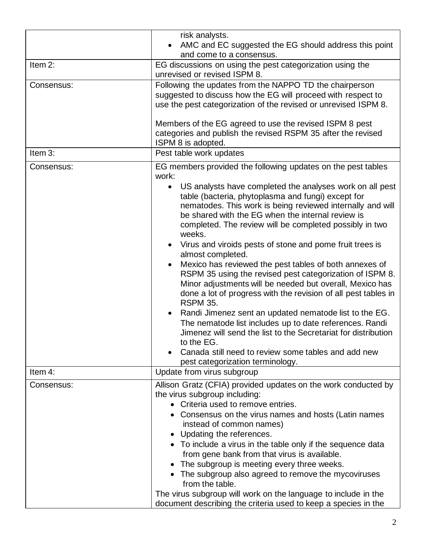|            | risk analysts.<br>AMC and EC suggested the EG should address this point<br>and come to a consensus.                                                                                                                                                                                                                                                                                                                                                                                                                                                                                                                                                                                                                                                                                                                                                                                                                                                                         |  |
|------------|-----------------------------------------------------------------------------------------------------------------------------------------------------------------------------------------------------------------------------------------------------------------------------------------------------------------------------------------------------------------------------------------------------------------------------------------------------------------------------------------------------------------------------------------------------------------------------------------------------------------------------------------------------------------------------------------------------------------------------------------------------------------------------------------------------------------------------------------------------------------------------------------------------------------------------------------------------------------------------|--|
| Item 2:    | EG discussions on using the pest categorization using the<br>unrevised or revised ISPM 8.                                                                                                                                                                                                                                                                                                                                                                                                                                                                                                                                                                                                                                                                                                                                                                                                                                                                                   |  |
| Consensus: | Following the updates from the NAPPO TD the chairperson<br>suggested to discuss how the EG will proceed with respect to<br>use the pest categorization of the revised or unrevised ISPM 8.                                                                                                                                                                                                                                                                                                                                                                                                                                                                                                                                                                                                                                                                                                                                                                                  |  |
|            | Members of the EG agreed to use the revised ISPM 8 pest<br>categories and publish the revised RSPM 35 after the revised<br>ISPM 8 is adopted.                                                                                                                                                                                                                                                                                                                                                                                                                                                                                                                                                                                                                                                                                                                                                                                                                               |  |
| Item 3:    | Pest table work updates                                                                                                                                                                                                                                                                                                                                                                                                                                                                                                                                                                                                                                                                                                                                                                                                                                                                                                                                                     |  |
| Consensus: | EG members provided the following updates on the pest tables<br>work:                                                                                                                                                                                                                                                                                                                                                                                                                                                                                                                                                                                                                                                                                                                                                                                                                                                                                                       |  |
|            | US analysts have completed the analyses work on all pest<br>$\bullet$<br>table (bacteria, phytoplasma and fungi) except for<br>nematodes. This work is being reviewed internally and will<br>be shared with the EG when the internal review is<br>completed. The review will be completed possibly in two<br>weeks.<br>Virus and viroids pests of stone and pome fruit trees is<br>almost completed.<br>Mexico has reviewed the pest tables of both annexes of<br>RSPM 35 using the revised pest categorization of ISPM 8.<br>Minor adjustments will be needed but overall, Mexico has<br>done a lot of progress with the revision of all pest tables in<br><b>RSPM 35.</b><br>Randi Jimenez sent an updated nematode list to the EG.<br>The nematode list includes up to date references. Randi<br>Jimenez will send the list to the Secretariat for distribution<br>to the EG.<br>Canada still need to review some tables and add new<br>pest categorization terminology. |  |
| Item 4:    | Update from virus subgroup                                                                                                                                                                                                                                                                                                                                                                                                                                                                                                                                                                                                                                                                                                                                                                                                                                                                                                                                                  |  |
| Consensus: | Allison Gratz (CFIA) provided updates on the work conducted by<br>the virus subgroup including:<br>• Criteria used to remove entries.<br>• Consensus on the virus names and hosts (Latin names<br>instead of common names)<br>• Updating the references.<br>• To include a virus in the table only if the sequence data<br>from gene bank from that virus is available.<br>• The subgroup is meeting every three weeks.<br>• The subgroup also agreed to remove the mycoviruses<br>from the table.<br>The virus subgroup will work on the language to include in the<br>document describing the criteria used to keep a species in the                                                                                                                                                                                                                                                                                                                                      |  |